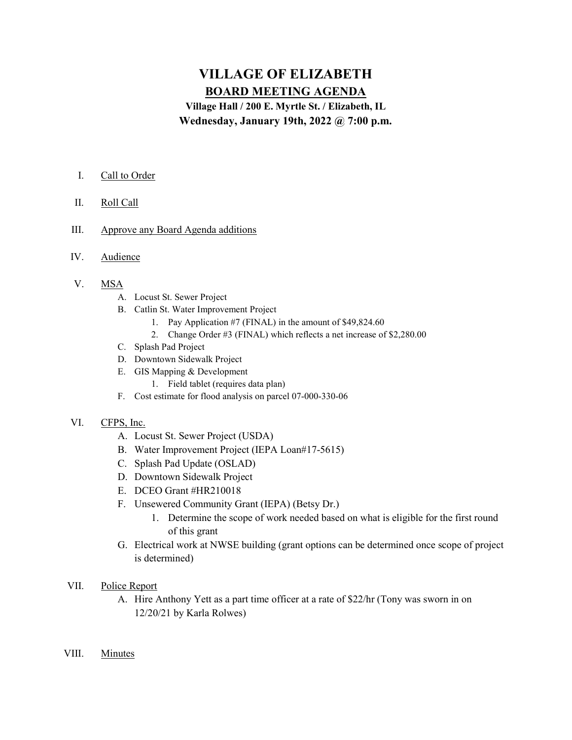# VILLAGE OF ELIZABETH BOARD MEETING AGENDA

Village Hall / 200 E. Myrtle St. / Elizabeth, IL Wednesday, January 19th, 2022 @ 7:00 p.m.

## I. Call to Order

- II. Roll Call
- III. Approve any Board Agenda additions
- IV. Audience

#### V. MSA

- A. Locust St. Sewer Project
- B. Catlin St. Water Improvement Project
	- 1. Pay Application #7 (FINAL) in the amount of \$49,824.60
	- 2. Change Order #3 (FINAL) which reflects a net increase of \$2,280.00
- C. Splash Pad Project
- D. Downtown Sidewalk Project
- E. GIS Mapping & Development
	- 1. Field tablet (requires data plan)
- F. Cost estimate for flood analysis on parcel 07-000-330-06

#### VI. CFPS, Inc.

- A. Locust St. Sewer Project (USDA)
- B. Water Improvement Project (IEPA Loan#17-5615)
- C. Splash Pad Update (OSLAD)
- D. Downtown Sidewalk Project
- E. DCEO Grant #HR210018
- F. Unsewered Community Grant (IEPA) (Betsy Dr.)
	- 1. Determine the scope of work needed based on what is eligible for the first round of this grant
- G. Electrical work at NWSE building (grant options can be determined once scope of project is determined)

### VII. Police Report

- A. Hire Anthony Yett as a part time officer at a rate of \$22/hr (Tony was sworn in on 12/20/21 by Karla Rolwes)
- VIII. Minutes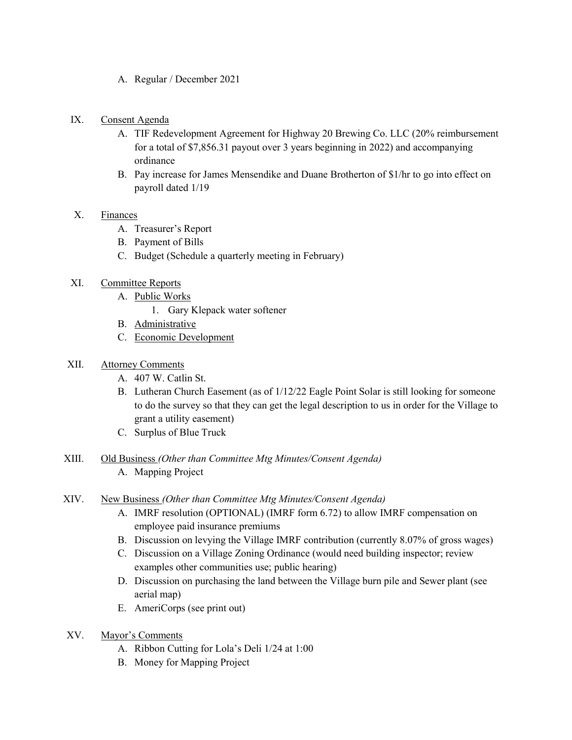- A. Regular / December 2021
- IX. Consent Agenda
	- A. TIF Redevelopment Agreement for Highway 20 Brewing Co. LLC (20% reimbursement for a total of \$7,856.31 payout over 3 years beginning in 2022) and accompanying ordinance
	- B. Pay increase for James Mensendike and Duane Brotherton of \$1/hr to go into effect on payroll dated 1/19

## X. Finances

- A. Treasurer's Report
- B. Payment of Bills
- C. Budget (Schedule a quarterly meeting in February)
- XI. Committee Reports
	- A. Public Works
		- 1. Gary Klepack water softener
	- B. Administrative
	- C. Economic Development

## XII. Attorney Comments

- A. 407 W. Catlin St.
- B. Lutheran Church Easement (as of 1/12/22 Eagle Point Solar is still looking for someone to do the survey so that they can get the legal description to us in order for the Village to grant a utility easement)
- C. Surplus of Blue Truck
- XIII. Old Business (Other than Committee Mtg Minutes/Consent Agenda) A. Mapping Project
- XIV. New Business (Other than Committee Mtg Minutes/Consent Agenda)
	- A. IMRF resolution (OPTIONAL) (IMRF form 6.72) to allow IMRF compensation on employee paid insurance premiums
	- B. Discussion on levying the Village IMRF contribution (currently 8.07% of gross wages)
	- C. Discussion on a Village Zoning Ordinance (would need building inspector; review examples other communities use; public hearing)
	- D. Discussion on purchasing the land between the Village burn pile and Sewer plant (see aerial map)
	- E. AmeriCorps (see print out)
- XV. Mayor's Comments
	- A. Ribbon Cutting for Lola's Deli 1/24 at 1:00
	- B. Money for Mapping Project